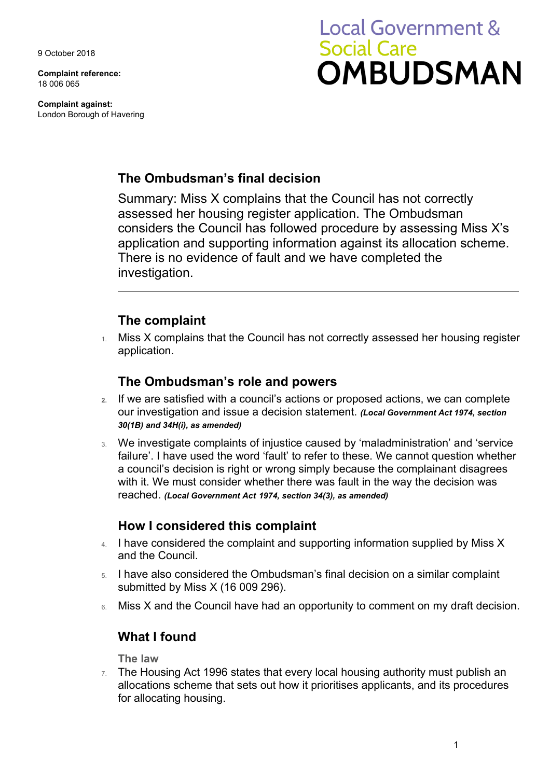9 October 2018

**Complaint reference:**  18 006 065

**Complaint against:**  London Borough of Havering

# **Local Government & Social Care OMBUDSMAN**

## **The Ombudsman's final decision**

Summary: Miss X complains that the Council has not correctly assessed her housing register application. The Ombudsman considers the Council has followed procedure by assessing Miss X's application and supporting information against its allocation scheme. There is no evidence of fault and we have completed the investigation.

## **The complaint**

1. Miss X complains that the Council has not correctly assessed her housing register application.

## **The Ombudsman's role and powers**

- our investigation and issue a decision statement. *(Local Government Act 1974, section*  **2.** If we are satisfied with a council's actions or proposed actions, we can complete *30(1B) and 34H(i), as amended)*
- 3. We investigate complaints of injustice caused by 'maladministration' and 'service failure'. I have used the word 'fault' to refer to these. We cannot question whether a council's decision is right or wrong simply because the complainant disagrees with it. We must consider whether there was fault in the way the decision was reached. *(Local Government Act 1974, section 34(3), as amended)*

## **How I considered this complaint**

- 4. I have considered the complaint and supporting information supplied by Miss X and the Council.
- 5. I have also considered the Ombudsman's final decision on a similar complaint submitted by Miss X (16 009 296).
- Miss X and the Council have had an opportunity to comment on my draft decision.

## **What I found**

**The law** 

 $7.$  The Housing Act 1996 states that every local housing authority must publish an allocations scheme that sets out how it prioritises applicants, and its procedures for allocating housing.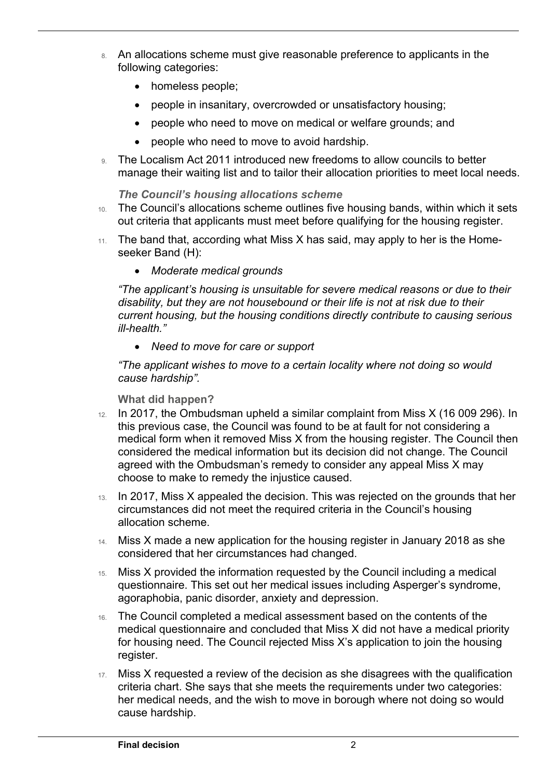- 8. An allocations scheme must give reasonable preference to applicants in the following categories:
	- homeless people;

 $\overline{a}$ 

- people in insanitary, overcrowded or unsatisfactory housing;
- people who need to move on medical or welfare grounds; and
- people who need to move to avoid hardship.
- 9. The Localism Act 2011 introduced new freedoms to allow councils to better manage their waiting list and to tailor their allocation priorities to meet local needs.

#### *The Council's housing allocations scheme*

- 10. The Council's allocations scheme outlines five housing bands, within which it sets out criteria that applicants must meet before qualifying for the housing register.
- 11. The band that, according what Miss X has said, may apply to her is the Homeseeker Band (H):
	- *Moderate medical grounds*

*"The applicant's housing is unsuitable for severe medical reasons or due to their disability, but they are not housebound or their life is not at risk due to their current housing, but the housing conditions directly contribute to causing serious ill-health."* 

 *Need to move for care or support* 

*"The applicant wishes to move to a certain locality where not doing so would cause hardship".* 

#### **What did happen?**

- choose to make to remedy the injustice caused. 12. In 2017, the Ombudsman upheld a similar complaint from Miss X (16 009 296). In this previous case, the Council was found to be at fault for not considering a medical form when it removed Miss X from the housing register. The Council then considered the medical information but its decision did not change. The Council agreed with the Ombudsman's remedy to consider any appeal Miss X may
- 13. In 2017, Miss X appealed the decision. This was rejected on the grounds that her circumstances did not meet the required criteria in the Council's housing allocation scheme.
- 14. Miss X made a new application for the housing register in January 2018 as she considered that her circumstances had changed.
- 15. Miss X provided the information requested by the Council including a medical questionnaire. This set out her medical issues including Asperger's syndrome, agoraphobia, panic disorder, anxiety and depression.
- medical questionnaire and concluded that Miss X did not have a medical priority 16. The Council completed a medical assessment based on the contents of the for housing need. The Council rejected Miss X's application to join the housing register.
- 17. Miss X requested a review of the decision as she disagrees with the qualification criteria chart. She says that she meets the requirements under two categories: her medical needs, and the wish to move in borough where not doing so would cause hardship.